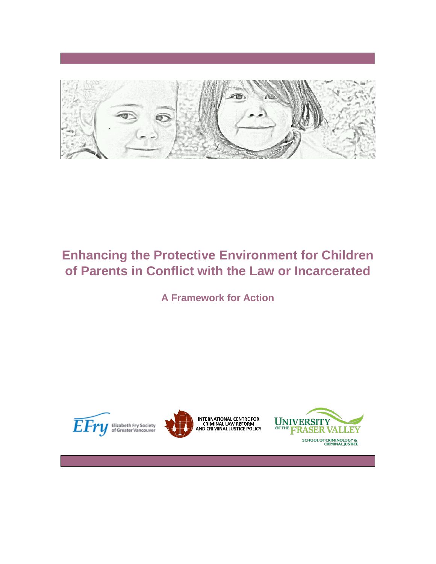

# **Enhancing the Protective Environment for Children of Parents in Conflict with the Law or Incarcerated**

**A Framework for Action**





INTERNATIONAL CENTRE FOR<br>CRIMINAL LAW REFORM<br>AND CRIMINAL JUSTICE POLICY

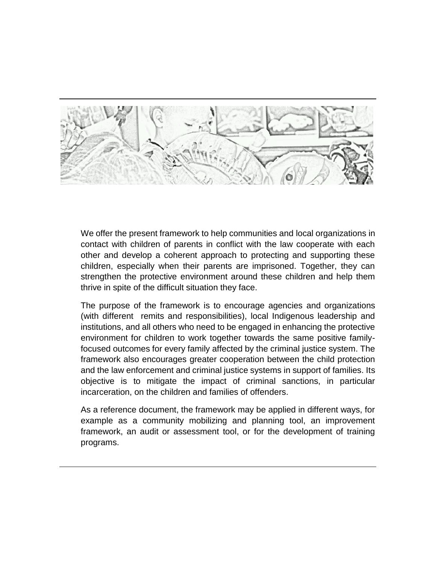

We offer the present framework to help communities and local organizations in contact with children of parents in conflict with the law cooperate with each other and develop a coherent approach to protecting and supporting these children, especially when their parents are imprisoned. Together, they can strengthen the protective environment around these children and help them thrive in spite of the difficult situation they face.

The purpose of the framework is to encourage agencies and organizations (with different remits and responsibilities), local Indigenous leadership and institutions, and all others who need to be engaged in enhancing the protective environment for children to work together towards the same positive familyfocused outcomes for every family affected by the criminal justice system. The framework also encourages greater cooperation between the child protection and the law enforcement and criminal justice systems in support of families. Its objective is to mitigate the impact of criminal sanctions, in particular incarceration, on the children and families of offenders.

As a reference document, the framework may be applied in different ways, for example as a community mobilizing and planning tool, an improvement framework, an audit or assessment tool, or for the development of training programs.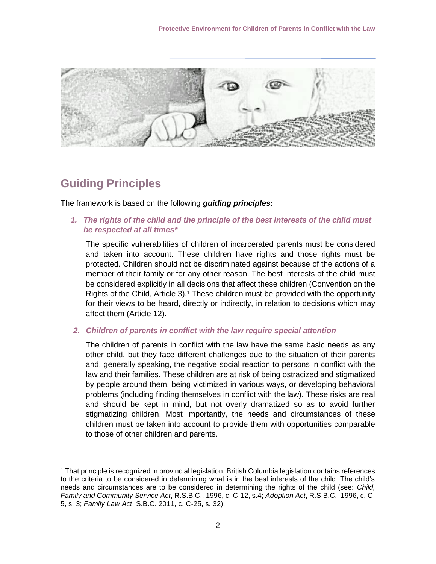

## **Guiding Principles**

 $\overline{a}$ 

The framework is based on the following *guiding principles:* 

*1. The rights of the child and the principle of the best interests of the child must be respected at all times\**

The specific vulnerabilities of children of incarcerated parents must be considered and taken into account. These children have rights and those rights must be protected. Children should not be discriminated against because of the actions of a member of their family or for any other reason. The best interests of the child must be considered explicitly in all decisions that affect these children (Convention on the Rights of the Child, Article 3).<sup>1</sup> These children must be provided with the opportunity for their views to be heard, directly or indirectly, in relation to decisions which may affect them (Article 12).

*2. Children of parents in conflict with the law require special attention*

The children of parents in conflict with the law have the same basic needs as any other child, but they face different challenges due to the situation of their parents and, generally speaking, the negative social reaction to persons in conflict with the law and their families. These children are at risk of being ostracized and stigmatized by people around them, being victimized in various ways, or developing behavioral problems (including finding themselves in conflict with the law). These risks are real and should be kept in mind, but not overly dramatized so as to avoid further stigmatizing children. Most importantly, the needs and circumstances of these children must be taken into account to provide them with opportunities comparable to those of other children and parents.

<sup>1</sup> That principle is recognized in provincial legislation. British Columbia legislation contains references to the criteria to be considered in determining what is in the best interests of the child. The child's needs and circumstances are to be considered in determining the rights of the child (see: *Child, Family and Community Service Act*, R.S.B.C., 1996, c. C-12, s.4; *Adoption Act*, R.S.B.C., 1996, c. C-5, s. 3; *Family Law Act*, S.B.C. 2011, c. C-25, s. 32).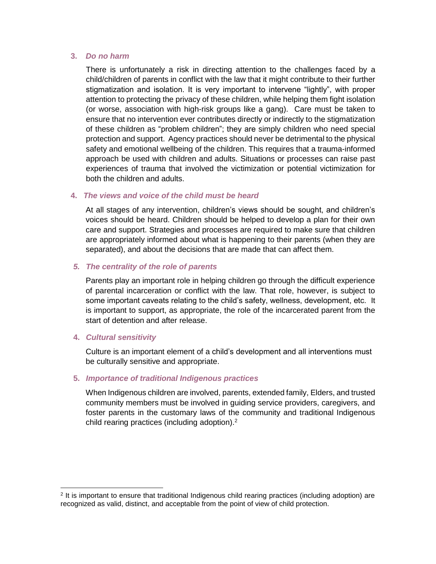#### **3.** *Do no harm*

There is unfortunately a risk in directing attention to the challenges faced by a child/children of parents in conflict with the law that it might contribute to their further stigmatization and isolation. It is very important to intervene "lightly", with proper attention to protecting the privacy of these children, while helping them fight isolation (or worse, association with high-risk groups like a gang). Care must be taken to ensure that no intervention ever contributes directly or indirectly to the stigmatization of these children as "problem children"; they are simply children who need special protection and support. Agency practices should never be detrimental to the physical safety and emotional wellbeing of the children. This requires that a trauma-informed approach be used with children and adults. Situations or processes can raise past experiences of trauma that involved the victimization or potential victimization for both the children and adults.

#### **4.** *The views and voice of the child must be heard*

At all stages of any intervention, children's views should be sought, and children's voices should be heard. Children should be helped to develop a plan for their own care and support. Strategies and processes are required to make sure that children are appropriately informed about what is happening to their parents (when they are separated), and about the decisions that are made that can affect them.

#### *5. The centrality of the role of parents*

Parents play an important role in helping children go through the difficult experience of parental incarceration or conflict with the law. That role, however, is subject to some important caveats relating to the child's safety, wellness, development, etc. It is important to support, as appropriate, the role of the incarcerated parent from the start of detention and after release.

#### **4.** *Cultural sensitivity*

 $\overline{a}$ 

Culture is an important element of a child's development and all interventions must be culturally sensitive and appropriate.

#### **5.** *Importance of traditional Indigenous practices*

When Indigenous children are involved, parents, extended family, Elders, and trusted community members must be involved in guiding service providers, caregivers, and foster parents in the customary laws of the community and traditional Indigenous child rearing practices (including adoption). $2$ 

<sup>2</sup> It is important to ensure that traditional Indigenous child rearing practices (including adoption) are recognized as valid, distinct, and acceptable from the point of view of child protection.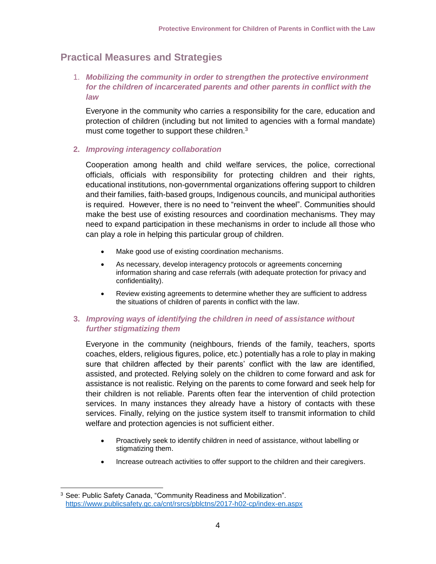### **Practical Measures and Strategies**

1. *Mobilizing the community in order to strengthen the protective environment for the children of incarcerated parents and other parents in conflict with the law*

Everyone in the community who carries a responsibility for the care, education and protection of children (including but not limited to agencies with a formal mandate) must come together to support these children.<sup>3</sup>

#### **2.** *Improving interagency collaboration*

Cooperation among health and child welfare services, the police, correctional officials, officials with responsibility for protecting children and their rights, educational institutions, non-governmental organizations offering support to children and their families, faith-based groups, Indigenous councils, and municipal authorities is required. However, there is no need to "reinvent the wheel". Communities should make the best use of existing resources and coordination mechanisms. They may need to expand participation in these mechanisms in order to include all those who can play a role in helping this particular group of children.

- Make good use of existing coordination mechanisms.
- As necessary, develop interagency protocols or agreements concerning information sharing and case referrals (with adequate protection for privacy and confidentiality).
- Review existing agreements to determine whether they are sufficient to address the situations of children of parents in conflict with the law.

#### **3.** *Improving ways of identifying the children in need of assistance without further stigmatizing them*

Everyone in the community (neighbours, friends of the family, teachers, sports coaches, elders, religious figures, police, etc.) potentially has a role to play in making sure that children affected by their parents' conflict with the law are identified, assisted, and protected. Relying solely on the children to come forward and ask for assistance is not realistic. Relying on the parents to come forward and seek help for their children is not reliable. Parents often fear the intervention of child protection services. In many instances they already have a history of contacts with these services. Finally, relying on the justice system itself to transmit information to child welfare and protection agencies is not sufficient either.

- Proactively seek to identify children in need of assistance, without labelling or stigmatizing them.
- Increase outreach activities to offer support to the children and their caregivers.

 $\overline{a}$ <sup>3</sup> See: Public Safety Canada, "Community Readiness and Mobilization". <https://www.publicsafety.gc.ca/cnt/rsrcs/pblctns/2017-h02-cp/index-en.aspx>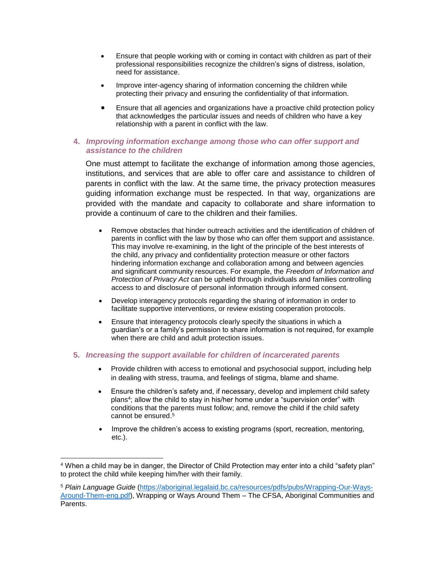- Ensure that people working with or coming in contact with children as part of their professional responsibilities recognize the children's signs of distress, isolation, need for assistance.
- Improve inter-agency sharing of information concerning the children while protecting their privacy and ensuring the confidentiality of that information.
- Ensure that all agencies and organizations have a proactive child protection policy that acknowledges the particular issues and needs of children who have a key relationship with a parent in conflict with the law.

#### **4.** *Improving information exchange among those who can offer support and assistance to the children*

One must attempt to facilitate the exchange of information among those agencies, institutions, and services that are able to offer care and assistance to children of parents in conflict with the law. At the same time, the privacy protection measures guiding information exchange must be respected. In that way, organizations are provided with the mandate and capacity to collaborate and share information to provide a continuum of care to the children and their families.

- Remove obstacles that hinder outreach activities and the identification of children of parents in conflict with the law by those who can offer them support and assistance. This may involve re-examining, in the light of the principle of the best interests of the child, any privacy and confidentiality protection measure or other factors hindering information exchange and collaboration among and between agencies and significant community resources. For example, the *Freedom of Information and Protection of Privacy Act* can be upheld through individuals and families controlling access to and disclosure of personal information through informed consent.
- Develop interagency protocols regarding the sharing of information in order to facilitate supportive interventions, or review existing cooperation protocols.
- Ensure that interagency protocols clearly specify the situations in which a guardian's or a family's permission to share information is not required, for example when there are child and adult protection issues.

#### **5.** *Increasing the support available for children of incarcerated parents*

- Provide children with access to emotional and psychosocial support, including help in dealing with stress, trauma, and feelings of stigma, blame and shame.
- Ensure the children's safety and, if necessary, develop and implement child safety plans<sup>4</sup>; allow the child to stay in his/her home under a "supervision order" with conditions that the parents must follow; and, remove the child if the child safety cannot be ensured. 5
- Improve the children's access to existing programs (sport, recreation, mentoring, etc.).

<sup>4</sup> When a child may be in danger, the Director of Child Protection may enter into a child "safety plan" to protect the child while keeping him/her with their family.

<sup>5</sup> *Plain Language Guide* [\(https://aboriginal.legalaid.bc.ca/resources/pdfs/pubs/Wrapping-Our-Ways-](https://aboriginal.legalaid.bc.ca/resources/pdfs/pubs/Wrapping-Our-Ways-Around-Them-eng.pdf)[Around-Them-eng.pdf\)](https://aboriginal.legalaid.bc.ca/resources/pdfs/pubs/Wrapping-Our-Ways-Around-Them-eng.pdf), Wrapping or Ways Around Them – The CFSA, Aboriginal Communities and Parents.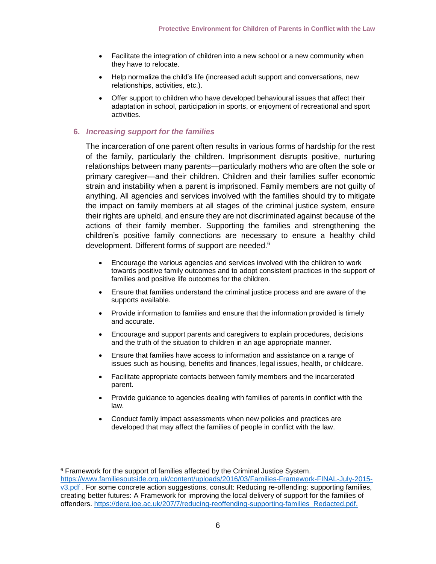- Facilitate the integration of children into a new school or a new community when they have to relocate.
- Help normalize the child's life (increased adult support and conversations, new relationships, activities, etc.).
- Offer support to children who have developed behavioural issues that affect their adaptation in school, participation in sports, or enjoyment of recreational and sport activities.

#### **6.** *Increasing support for the families*

The incarceration of one parent often results in various forms of hardship for the rest of the family, particularly the children. Imprisonment disrupts positive, nurturing relationships between many parents—particularly mothers who are often the sole or primary caregiver—and their children. Children and their families suffer economic strain and instability when a parent is imprisoned. Family members are not guilty of anything. All agencies and services involved with the families should try to mitigate the impact on family members at all stages of the criminal justice system, ensure their rights are upheld, and ensure they are not discriminated against because of the actions of their family member. Supporting the families and strengthening the children's positive family connections are necessary to ensure a healthy child development. Different forms of support are needed. 6

- Encourage the various agencies and services involved with the children to work towards positive family outcomes and to adopt consistent practices in the support of families and positive life outcomes for the children.
- Ensure that families understand the criminal justice process and are aware of the supports available.
- Provide information to families and ensure that the information provided is timely and accurate.
- Encourage and support parents and caregivers to explain procedures, decisions and the truth of the situation to children in an age appropriate manner.
- Ensure that families have access to information and assistance on a range of issues such as housing, benefits and finances, legal issues, health, or childcare.
- Facilitate appropriate contacts between family members and the incarcerated parent.
- Provide guidance to agencies dealing with families of parents in conflict with the law.
- Conduct family impact assessments when new policies and practices are developed that may affect the families of people in conflict with the law.

 $\overline{a}$ 

<sup>6</sup> Framework for the support of families affected by the Criminal Justice System.

[https://www.familiesoutside.org.uk/content/uploads/2016/03/Families-Framework-FINAL-July-2015](https://www.familiesoutside.org.uk/content/uploads/2016/03/Families-Framework-FINAL-July-2015-v3.pdf) [v3.pdf](https://www.familiesoutside.org.uk/content/uploads/2016/03/Families-Framework-FINAL-July-2015-v3.pdf) . For some concrete action suggestions, consult: Reducing re-offending: supporting families, creating better futures: A Framework for improving the local delivery of support for the families of offenders. https://dera.ioe.ac.uk/207/7/reducing-reoffending-supporting-families\_Redacted.pdf.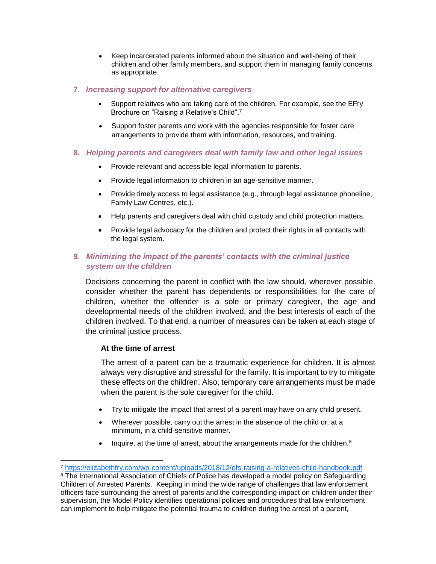• Keep incarcerated parents informed about the situation and well-being of their children and other family members, and support them in managing family concerns as appropriate.

#### **7.** *Increasing support for alternative caregivers*

- Support relatives who are taking care of the children. For example, see the EFry Brochure on "Raising a Relative's Child".<sup>7</sup>
- Support foster parents and work with the agencies responsible for foster care arrangements to provide them with information, resources, and training.

#### **8.** *Helping parents and caregivers deal with family law and other legal issues*

- Provide relevant and accessible legal information to parents.
- Provide legal information to children in an age-sensitive manner.
- Provide timely access to legal assistance (e.g., through legal assistance phoneline, Family Law Centres, etc.).
- Help parents and caregivers deal with child custody and child protection matters.
- Provide legal advocacy for the children and protect their rights in all contacts with the legal system.

#### **9.** *Minimizing the impact of the parents' contacts with the criminal justice system on the children*

Decisions concerning the parent in conflict with the law should, wherever possible, consider whether the parent has dependents or responsibilities for the care of children, whether the offender is a sole or primary caregiver, the age and developmental needs of the children involved, and the best interests of each of the children involved. To that end, a number of measures can be taken at each stage of the criminal justice process.

#### **At the time of arrest**

The arrest of a parent can be a traumatic experience for children. It is almost always very disruptive and stressful for the family. It is important to try to mitigate these effects on the children. Also, temporary care arrangements must be made when the parent is the sole caregiver for the child.

- Try to mitigate the impact that arrest of a parent may have on any child present.
- Wherever possible, carry out the arrest in the absence of the child or, at a minimum, in a child-sensitive manner.
- Inquire, at the time of arrest, about the arrangements made for the children. $8$

<sup>7</sup> <https://elizabethfry.com/wp-content/uploads/2018/12/efs-raising-a-relatives-child-handbook.pdf>

<sup>&</sup>lt;sup>8</sup> The International Association of Chiefs of Police has developed a model policy on Safeguarding Children of Arrested Parents. Keeping in mind the wide range of challenges that law enforcement officers face surrounding the arrest of parents and the corresponding impact on children under their supervision, the Model Policy identifies operational policies and procedures that law enforcement can implement to help mitigate the potential trauma to children during the arrest of a parent,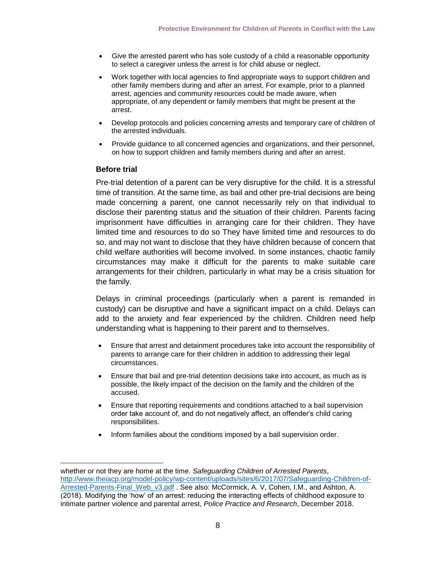- Give the arrested parent who has sole custody of a child a reasonable opportunity to select a caregiver unless the arrest is for child abuse or neglect.
- Work together with local agencies to find appropriate ways to support children and other family members during and after an arrest. For example, prior to a planned arrest, agencies and community resources could be made aware, when appropriate, of any dependent or family members that might be present at the arrest.
- Develop protocols and policies concerning arrests and temporary care of children of the arrested individuals.
- Provide guidance to all concerned agencies and organizations, and their personnel, on how to support children and family members during and after an arrest.

#### **Before trial**

 $\overline{a}$ 

Pre-trial detention of a parent can be very disruptive for the child. It is a stressful time of transition. At the same time, as bail and other pre-trial decisions are being made concerning a parent, one cannot necessarily rely on that individual to disclose their parenting status and the situation of their children. Parents facing imprisonment have difficulties in arranging care for their children. They have limited time and resources to do so They have limited time and resources to do so, and may not want to disclose that they have children because of concern that child welfare authorities will become involved. In some instances, chaotic family circumstances may make it difficult for the parents to make suitable care arrangements for their children, particularly in what may be a crisis situation for the family.

Delays in criminal proceedings (particularly when a parent is remanded in custody) can be disruptive and have a significant impact on a child. Delays can add to the anxiety and fear experienced by the children. Children need help understanding what is happening to their parent and to themselves.

- Ensure that arrest and detainment procedures take into account the responsibility of parents to arrange care for their children in addition to addressing their legal circumstances.
- Ensure that bail and pre-trial detention decisions take into account, as much as is possible, the likely impact of the decision on the family and the children of the accused.
- Ensure that reporting requirements and conditions attached to a bail supervision order take account of, and do not negatively affect, an offender's child caring responsibilities.
- Inform families about the conditions imposed by a bail supervision order.

whether or not they are home at the time. *Safeguarding Children of Arrested Parents*, [http://www.theiacp.org/model-policy/wp-content/uploads/sites/6/2017/07/Safeguarding-Children-of-](http://www.theiacp.org/model-policy/wp-content/uploads/sites/6/2017/07/Safeguarding-Children-of-Arrested-Parents-Final_Web_v3.pdf)[Arrested-Parents-Final\\_Web\\_v3.pdf](http://www.theiacp.org/model-policy/wp-content/uploads/sites/6/2017/07/Safeguarding-Children-of-Arrested-Parents-Final_Web_v3.pdf) . See also: McCormick, A. V, Cohen, I.M., and Ashton, A. (2018). Modifying the 'how' of an arrest: reducing the interacting effects of childhood exposure to intimate partner violence and parental arrest, *Police Practice and Research*, December 2018.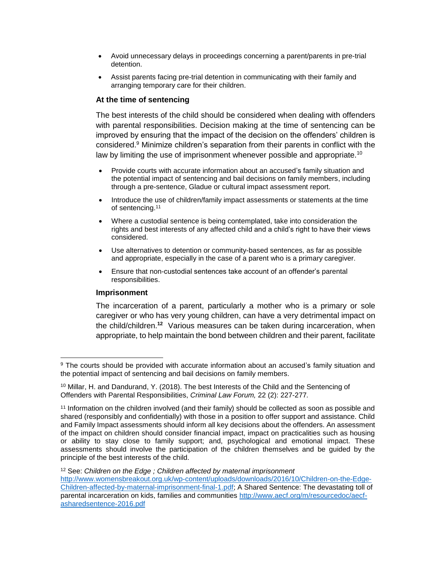- Avoid unnecessary delays in proceedings concerning a parent/parents in pre-trial detention.
- Assist parents facing pre-trial detention in communicating with their family and arranging temporary care for their children.

#### **At the time of sentencing**

The best interests of the child should be considered when dealing with offenders with parental responsibilities. Decision making at the time of sentencing can be improved by ensuring that the impact of the decision on the offenders' children is considered.<sup>9</sup> Minimize children's separation from their parents in conflict with the law by limiting the use of imprisonment whenever possible and appropriate.<sup>10</sup>

- Provide courts with accurate information about an accused's family situation and the potential impact of sentencing and bail decisions on family members, including through a pre-sentence, Gladue or cultural impact assessment report.
- Introduce the use of children/family impact assessments or statements at the time of sentencing.<sup>11</sup>
- Where a custodial sentence is being contemplated, take into consideration the rights and best interests of any affected child and a child's right to have their views considered.
- Use alternatives to detention or community-based sentences, as far as possible and appropriate, especially in the case of a parent who is a primary caregiver.
- Ensure that non-custodial sentences take account of an offender's parental responsibilities.

#### **Imprisonment**

The incarceration of a parent, particularly a mother who is a primary or sole caregiver or who has very young children, can have a very detrimental impact on the child/children.**<sup>12</sup>** Various measures can be taken during incarceration, when appropriate, to help maintain the bond between children and their parent, facilitate

<sup>12</sup> See: *Children on the Edge ; Children affected by maternal imprisonment* 

 $\overline{a}$ <sup>9</sup> The courts should be provided with accurate information about an accused's family situation and the potential impact of sentencing and bail decisions on family members.

 $10$  Millar, H. and Dandurand, Y. (2018). The best Interests of the Child and the Sentencing of Offenders with Parental Responsibilities, *Criminal Law Forum,* 22 (2): 227-277*.*

<sup>11</sup> Information on the children involved (and their family) should be collected as soon as possible and shared (responsibly and confidentially) with those in a position to offer support and assistance. Child and Family Impact assessments should inform all key decisions about the offenders. An assessment of the impact on children should consider financial impact, impact on practicalities such as housing or ability to stay close to family support; and, psychological and emotional impact. These assessments should involve the participation of the children themselves and be guided by the principle of the best interests of the child.

[http://www.womensbreakout.org.uk/wp-content/uploads/downloads/2016/10/Children-on-the-Edge-](http://www.womensbreakout.org.uk/wp-content/uploads/downloads/2016/10/Children-on-the-Edge-Children-affected-by-maternal-imprisonment-final-1.pdf)[Children-affected-by-maternal-imprisonment-final-1.pdf;](http://www.womensbreakout.org.uk/wp-content/uploads/downloads/2016/10/Children-on-the-Edge-Children-affected-by-maternal-imprisonment-final-1.pdf) A Shared Sentence: The devastating toll of parental incarceration on kids, families and communities [http://www.aecf.org/m/resourcedoc/aecf](http://www.aecf.org/m/resourcedoc/aecf-asharedsentence-2016.pdf)[asharedsentence-2016.pdf](http://www.aecf.org/m/resourcedoc/aecf-asharedsentence-2016.pdf)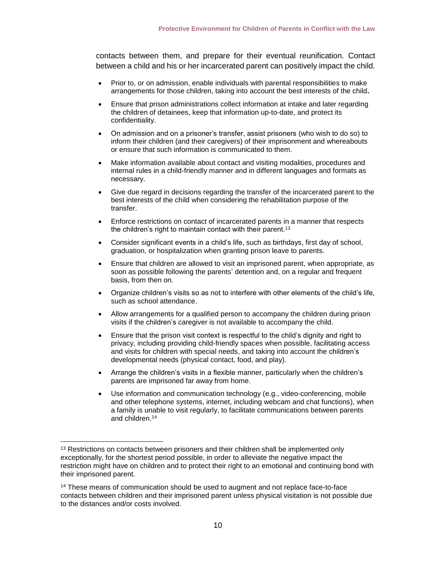contacts between them, and prepare for their eventual reunification. Contact between a child and his or her incarcerated parent can positively impact the child.

- Prior to, or on admission, enable individuals with parental responsibilities to make arrangements for those children, taking into account the best interests of the child**.**
- Ensure that prison administrations collect information at intake and later regarding the children of detainees, keep that information up-to-date, and protect its confidentiality.
- On admission and on a prisoner's transfer, assist prisoners (who wish to do so) to inform their children (and their caregivers) of their imprisonment and whereabouts or ensure that such information is communicated to them.
- Make information available about contact and visiting modalities, procedures and internal rules in a child-friendly manner and in different languages and formats as necessary.
- Give due regard in decisions regarding the transfer of the incarcerated parent to the best interests of the child when considering the rehabilitation purpose of the transfer.
- Enforce restrictions on contact of incarcerated parents in a manner that respects the children's right to maintain contact with their parent.<sup>13</sup>
- Consider significant events in a child's life, such as birthdays, first day of school, graduation, or hospitalization when granting prison leave to parents.
- Ensure that children are allowed to visit an imprisoned parent, when appropriate, as soon as possible following the parents' detention and, on a regular and frequent basis, from then on.
- Organize children's visits so as not to interfere with other elements of the child's life, such as school attendance.
- Allow arrangements for a qualified person to accompany the children during prison visits if the children's caregiver is not available to accompany the child.
- Ensure that the prison visit context is respectful to the child's dignity and right to privacy, including providing child-friendly spaces when possible, facilitating access and visits for children with special needs, and taking into account the children's developmental needs (physical contact, food, and play).
- Arrange the children's visits in a flexible manner, particularly when the children's parents are imprisoned far away from home.
- Use information and communication technology (e.g., video-conferencing, mobile and other telephone systems, internet, including webcam and chat functions), when a family is unable to visit regularly, to facilitate communications between parents and children. 14

<sup>&</sup>lt;sup>13</sup> Restrictions on contacts between prisoners and their children shall be implemented only exceptionally, for the shortest period possible, in order to alleviate the negative impact the restriction might have on children and to protect their right to an emotional and continuing bond with their imprisoned parent.

<sup>14</sup> These means of communication should be used to augment and not replace face-to-face contacts between children and their imprisoned parent unless physical visitation is not possible due to the distances and/or costs involved.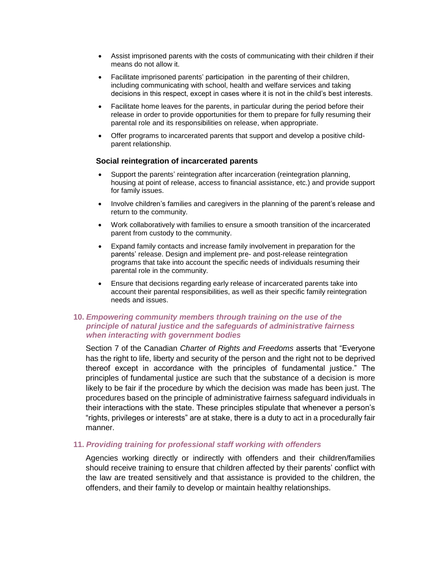- Assist imprisoned parents with the costs of communicating with their children if their means do not allow it.
- Facilitate imprisoned parents' participation in the parenting of their children, including communicating with school, health and welfare services and taking decisions in this respect, except in cases where it is not in the child's best interests.
- Facilitate home leaves for the parents, in particular during the period before their release in order to provide opportunities for them to prepare for fully resuming their parental role and its responsibilities on release, when appropriate.
- Offer programs to incarcerated parents that support and develop a positive childparent relationship.

#### **Social reintegration of incarcerated parents**

- Support the parents' reintegration after incarceration (reintegration planning, housing at point of release, access to financial assistance, etc.) and provide support for family issues.
- Involve children's families and caregivers in the planning of the parent's release and return to the community.
- Work collaboratively with families to ensure a smooth transition of the incarcerated parent from custody to the community.
- Expand family contacts and increase family involvement in preparation for the parents' release. Design and implement pre- and post-release reintegration programs that take into account the specific needs of individuals resuming their parental role in the community.
- Ensure that decisions regarding early release of incarcerated parents take into account their parental responsibilities, as well as their specific family reintegration needs and issues.

#### **10.** *Empowering community members through training on the use of the principle of natural justice and the safeguards of administrative fairness when interacting with government bodies*

Section 7 of the Canadian *Charter of Rights and Freedoms* asserts that "Everyone has the right to life, liberty and security of the person and the right not to be deprived thereof except in accordance with the principles of fundamental justice." The principles of fundamental justice are such that the substance of a decision is more likely to be fair if the procedure by which the decision was made has been just. The procedures based on the principle of administrative fairness safeguard individuals in their interactions with the state. These principles stipulate that whenever a person's "rights, privileges or interests" are at stake, there is a duty to act in a procedurally fair manner.

#### **11.** *Providing training for professional staff working with offenders*

Agencies working directly or indirectly with offenders and their children/families should receive training to ensure that children affected by their parents' conflict with the law are treated sensitively and that assistance is provided to the children, the offenders, and their family to develop or maintain healthy relationships.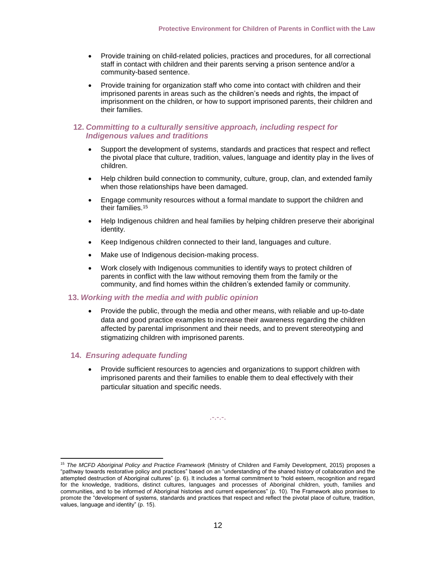- Provide training on child-related policies, practices and procedures, for all correctional staff in contact with children and their parents serving a prison sentence and/or a community-based sentence.
- Provide training for organization staff who come into contact with children and their imprisoned parents in areas such as the children's needs and rights, the impact of imprisonment on the children, or how to support imprisoned parents, their children and their families.

#### **12.** *Committing to a culturally sensitive approach, including respect for Indigenous values and traditions*

- Support the development of systems, standards and practices that respect and reflect the pivotal place that culture, tradition, values, language and identity play in the lives of children.
- Help children build connection to community, culture, group, clan, and extended family when those relationships have been damaged.
- Engage community resources without a formal mandate to support the children and their families.<sup>15</sup>
- Help Indigenous children and heal families by helping children preserve their aboriginal identity.
- Keep Indigenous children connected to their land, languages and culture.
- Make use of Indigenous decision-making process.
- Work closely with Indigenous communities to identify ways to protect children of parents in conflict with the law without removing them from the family or the community, and find homes within the children's extended family or community.

#### **13.** *Working with the media and with public opinion*

• Provide the public, through the media and other means, with reliable and up-to-date data and good practice examples to increase their awareness regarding the children affected by parental imprisonment and their needs, and to prevent stereotyping and stigmatizing children with imprisoned parents.

#### **14.** *Ensuring adequate funding*

• Provide sufficient resources to agencies and organizations to support children with imprisoned parents and their families to enable them to deal effectively with their particular situation and specific needs.

.-.-.-.

<sup>15</sup> *The MCFD Aboriginal Policy and Practice Framework* (Ministry of Children and Family Development, 2015) proposes a "pathway towards restorative policy and practices" based on an "understanding of the shared history of collaboration and the attempted destruction of Aboriginal cultures" (p. 6). It includes a formal commitment to "hold esteem, recognition and regard for the knowledge, traditions, distinct cultures, languages and processes of Aboriginal children, youth, families and communities, and to be informed of Aboriginal histories and current experiences" (p. 10). The Framework also promises to promote the "development of systems, standards and practices that respect and reflect the pivotal place of culture, tradition, values, language and identity" (p. 15).